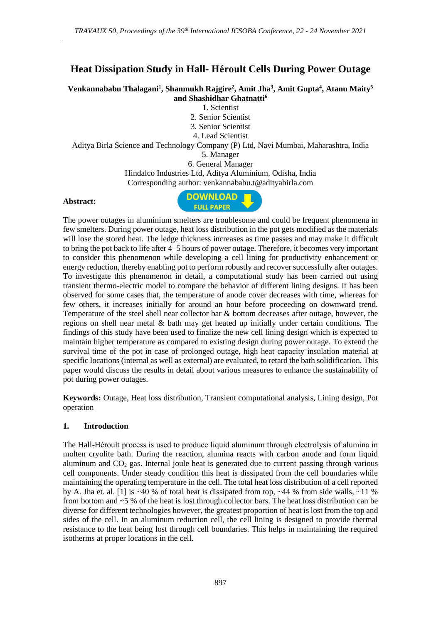# **Heat Dissipation Study in Hall- Héroult Cells During Power Outage**

**Venkannababu Thalagani<sup>1</sup> , Shanmukh Rajgire<sup>2</sup> , Amit Jha<sup>3</sup> , Amit Gupta<sup>4</sup> , Atanu Maity<sup>5</sup> and Shashidhar Ghatnatti<sup>6</sup>**

1. Scientist

2. Senior Scientist

3. Senior Scientist

4. Lead Scientist

Aditya Birla Science and Technology Company (P) Ltd, Navi Mumbai, Maharashtra, India 5. Manager

6. General Manager

Hindalco Industries Ltd, Aditya Aluminium, Odisha, India

Corresponding author: venkannababu.[t@adityabirla.com](mailto:rajeev.yadav@adityabirla.com)

#### **Abstract:**



The power outages in aluminium smelters are troublesome and could be frequent phenomena in few smelters. During power outage, heat loss distribution in the pot gets modified as the materials will lose the stored heat. The ledge thickness increases as time passes and may make it difficult to bring the pot back to life after 4–5 hours of power outage. Therefore, it becomes very important to consider this phenomenon while developing a cell lining for productivity enhancement or energy reduction, thereby enabling pot to perform robustly and recover successfully after outages. To investigate this phenomenon in detail, a computational study has been carried out using transient thermo-electric model to compare the behavior of different lining designs. It has been observed for some cases that, the temperature of anode cover decreases with time, whereas for few others, it increases initially for around an hour before proceeding on downward trend. Temperature of the steel shell near collector bar & bottom decreases after outage, however, the regions on shell near metal & bath may get heated up initially under certain conditions. The findings of this study have been used to finalize the new cell lining design which is expected to maintain higher temperature as compared to existing design during power outage. To extend the survival time of the pot in case of prolonged outage, high heat capacity insulation material at specific locations (internal as well as external) are evaluated, to retard the bath solidification. This paper would discuss the results in detail about various measures to enhance the sustainability of pot during power outages.

**Keywords:** Outage, Heat loss distribution, Transient computational analysis, Lining design, Pot operation

### **1. Introduction**

The Hall-Héroult process is used to produce liquid aluminum through electrolysis of alumina in molten cryolite bath. During the reaction, alumina reacts with carbon anode and form liquid aluminum and  $CO<sub>2</sub>$  gas. Internal joule heat is generated due to current passing through various cell components. Under steady condition this heat is dissipated from the cell boundaries while maintaining the operating temperature in the cell. The total heat loss distribution of a cell reported by A. Jha et. al. [1] is  $\sim$ 40 % of total heat is dissipated from top,  $\sim$ 44 % from side walls,  $\sim$ 11 % from bottom and ~5 % of the heat is lost through collector bars. The heat loss distribution can be diverse for different technologies however, the greatest proportion of heat is lost from the top and sides of the cell. In an aluminum reduction cell, the cell lining is designed to provide thermal resistance to the heat being lost through cell boundaries. This helps in maintaining the required isotherms at proper locations in the cell.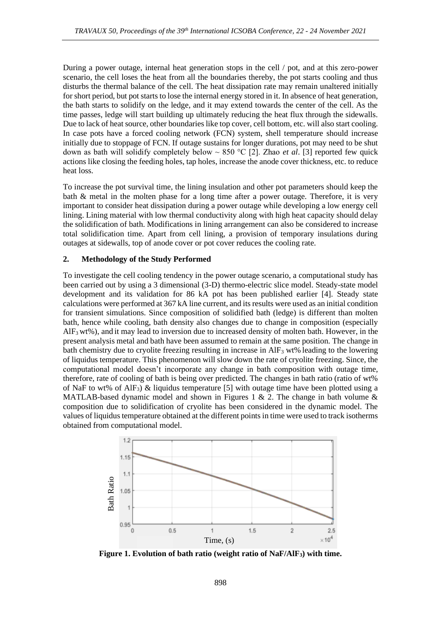During a power outage, internal heat generation stops in the cell / pot, and at this zero-power scenario, the cell loses the heat from all the boundaries thereby, the pot starts cooling and thus disturbs the thermal balance of the cell. The heat dissipation rate may remain unaltered initially for short period, but pot starts to lose the internal energy stored in it. In absence of heat generation, the bath starts to solidify on the ledge, and it may extend towards the center of the cell. As the time passes, ledge will start building up ultimately reducing the heat flux through the sidewalls. Due to lack of heat source, other boundaries like top cover, cell bottom, etc. will also start cooling. In case pots have a forced cooling network (FCN) system, shell temperature should increase initially due to stoppage of FCN. If outage sustains for longer durations, pot may need to be shut down as bath will solidify completely below ~ 850 °C [2]. Zhao *et al*. [3] reported few quick actions like closing the feeding holes, tap holes, increase the anode cover thickness, etc. to reduce heat loss.

To increase the pot survival time, the lining insulation and other pot parameters should keep the bath & metal in the molten phase for a long time after a power outage. Therefore, it is very important to consider heat dissipation during a power outage while developing a low energy cell lining. Lining material with low thermal conductivity along with high heat capacity should delay the solidification of bath. Modifications in lining arrangement can also be considered to increase total solidification time. Apart from cell lining, a provision of temporary insulations during outages at sidewalls, top of anode cover or pot cover reduces the cooling rate.

# **2. Methodology of the Study Performed**

To investigate the cell cooling tendency in the power outage scenario, a computational study has been carried out by using a 3 dimensional (3-D) thermo-electric slice model. Steady-state model development and its validation for 86 kA pot has been published earlier [4]. Steady state calculations were performed at 367 kA line current, and its results were used as an initial condition for transient simulations. Since composition of solidified bath (ledge) is different than molten bath, hence while cooling, bath density also changes due to change in composition (especially  $AIF<sub>3</sub> wt\%)$ , and it may lead to inversion due to increased density of molten bath. However, in the present analysis metal and bath have been assumed to remain at the same position. The change in bath chemistry due to cryolite freezing resulting in increase in  $\text{AlF}_3$  wt% leading to the lowering of liquidus temperature. This phenomenon will slow down the rate of cryolite freezing. Since, the computational model doesn't incorporate any change in bath composition with outage time, therefore, rate of cooling of bath is being over predicted. The changes in bath ratio (ratio of wt% of NaF to wt% of AlF<sub>3</sub>) & liquidus temperature [5] with outage time have been plotted using a MATLAB-based dynamic model and shown in Figures 1 & 2. The change in bath volume  $\&$ composition due to solidification of cryolite has been considered in the dynamic model. The values of liquidus temperature obtained at the different points in time were used to track isotherms obtained from computational model.



**Figure 1. Evolution of bath ratio (weight ratio of NaF/AlF3) with time.**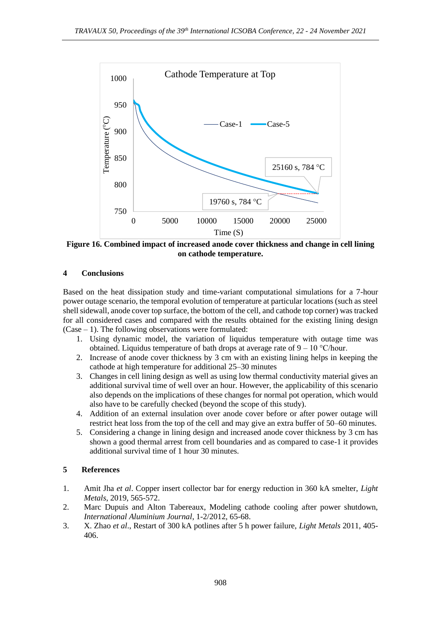

**Figure 16. Combined impact of increased anode cover thickness and change in cell lining on cathode temperature.**

# **4 Conclusions**

Based on the heat dissipation study and time-variant computational simulations for a 7-hour power outage scenario, the temporal evolution of temperature at particular locations (such as steel shell sidewall, anode cover top surface, the bottom of the cell, and cathode top corner) was tracked for all considered cases and compared with the results obtained for the existing lining design  $(Case - 1)$ . The following observations were formulated:

- 1. Using dynamic model, the variation of liquidus temperature with outage time was obtained. Liquidus temperature of bath drops at average rate of  $9 - 10$  °C/hour.
- 2. Increase of anode cover thickness by 3 cm with an existing lining helps in keeping the cathode at high temperature for additional 25–30 minutes
- 3. Changes in cell lining design as well as using low thermal conductivity material gives an additional survival time of well over an hour. However, the applicability of this scenario also depends on the implications of these changes for normal pot operation, which would also have to be carefully checked (beyond the scope of this study).
- 4. Addition of an external insulation over anode cover before or after power outage will restrict heat loss from the top of the cell and may give an extra buffer of 50–60 minutes.
- 5. Considering a change in lining design and increased anode cover thickness by 3 cm has shown a good thermal arrest from cell boundaries and as compared to case-1 it provides additional survival time of 1 hour 30 minutes.

### **5 References**

- 1. Amit Jha *et al*. Copper insert collector bar for energy reduction in 360 kA smelter, *Light Metals*, 2019, 565-572.
- 2. Marc Dupuis and Alton Tabereaux, Modeling cathode cooling after power shutdown, *International Aluminium Journal*, 1-2/2012, 65-68.
- 3. X. Zhao *et al*., Restart of 300 kA potlines after 5 h power failure, *Light Metals* 2011, 405- 406.